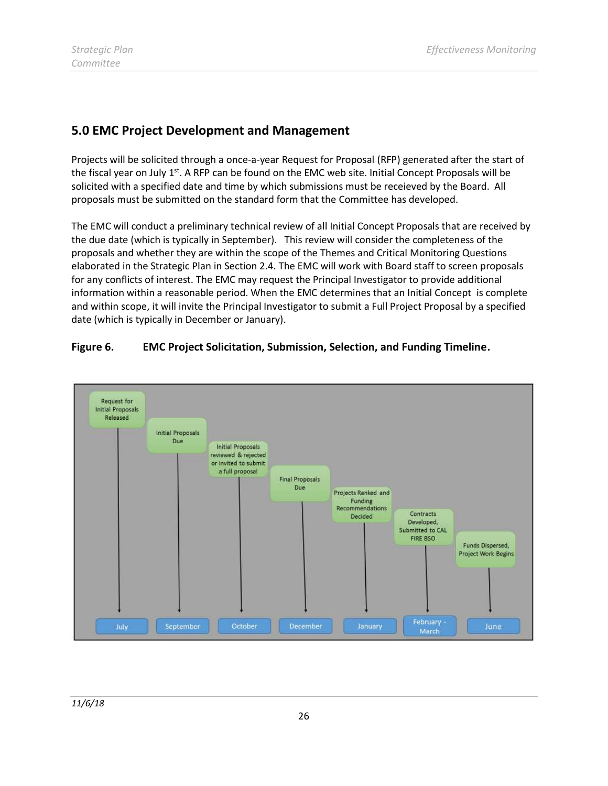# 5.0 EMC Project Development and Management

 Projects will be solicited through a once-a-year Request for Proposal (RFP) generated after the start of the fiscal year on July 1<sup>st</sup>. A RFP can be found on the EMC web site. Initial Concept Proposals will be solicited with a specified date and time by which submissions must be receieved by the Board. All proposals must be submitted on the standard form that the Committee has developed.

 The EMC will conduct a preliminary technical review of all Initial Concept Proposals that are received by the due date (which is typically in September). This review will consider the completeness of the proposals and whether they are within the scope of the Themes and Critical Monitoring Questions elaborated in the Strategic Plan in Section 2.4. The EMC will work with Board staff to screen proposals for any conflicts of interest. The EMC may request the Principal Investigator to provide additional information within a reasonable period. When the EMC determines that an Initial Concept is complete and within scope, it will invite the Principal Investigator to submit a Full Project Proposal by a specified date (which is typically in December or January).



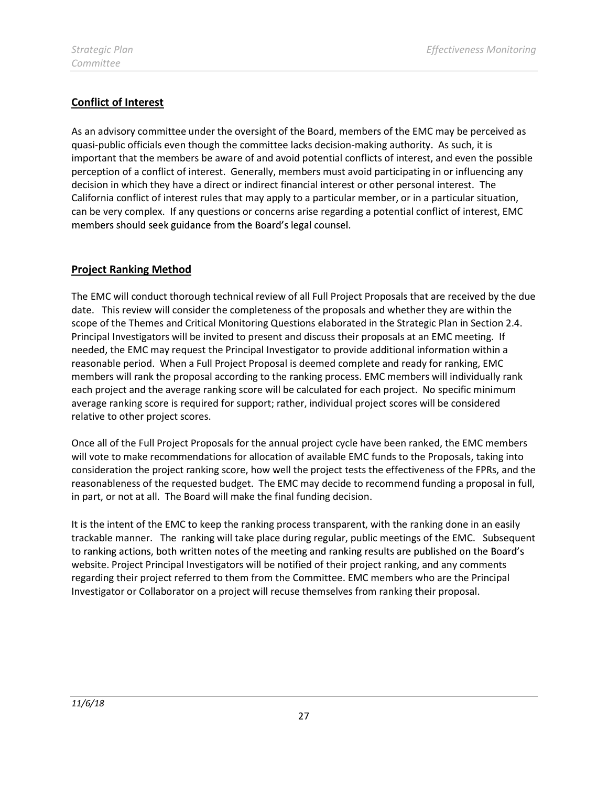# Conflict of Interest

 As an advisory committee under the oversight of the Board, members of the EMC may be perceived as quasi-public officials even though the committee lacks decision-making authority. As such, it is important that the members be aware of and avoid potential conflicts of interest, and even the possible perception of a conflict of interest. Generally, members must avoid participating in or influencing any decision in which they have a direct or indirect financial interest or other personal interest. The California conflict of interest rules that may apply to a particular member, or in a particular situation, can be very complex. If any questions or concerns arise regarding a potential conflict of interest, EMC members should seek guidance from the Board's legal counsel.

## **Project Ranking Method**

 The EMC will conduct thorough technical review of all Full Project Proposals that are received by the due date. This review will consider the completeness of the proposals and whether they are within the scope of the Themes and Critical Monitoring Questions elaborated in the Strategic Plan in Section 2.4. Principal Investigators will be invited to present and discuss their proposals at an EMC meeting. If needed, the EMC may request the Principal Investigator to provide additional information within a reasonable period. When a Full Project Proposal is deemed complete and ready for ranking, EMC members will rank the proposal according to the ranking process. EMC members will individually rank each project and the average ranking score will be calculated for each project. No specific minimum average ranking score is required for support; rather, individual project scores will be considered relative to other project scores.

 Once all of the Full Project Proposals for the annual project cycle have been ranked, the EMC members will vote to make recommendations for allocation of available EMC funds to the Proposals, taking into consideration the project ranking score, how well the project tests the effectiveness of the FPRs, and the reasonableness of the requested budget. The EMC may decide to recommend funding a proposal in full, in part, or not at all. The Board will make the final funding decision.

 It is the intent of the EMC to keep the ranking process transparent, with the ranking done in an easily trackable manner. The ranking will take place during regular, public meetings of the EMC. Subsequent to ranking actions, both written notes of the meeting and ranking results are published on the Board's website. Project Principal Investigators will be notified of their project ranking, and any comments regarding their project referred to them from the Committee. EMC members who are the Principal Investigator or Collaborator on a project will recuse themselves from ranking their proposal.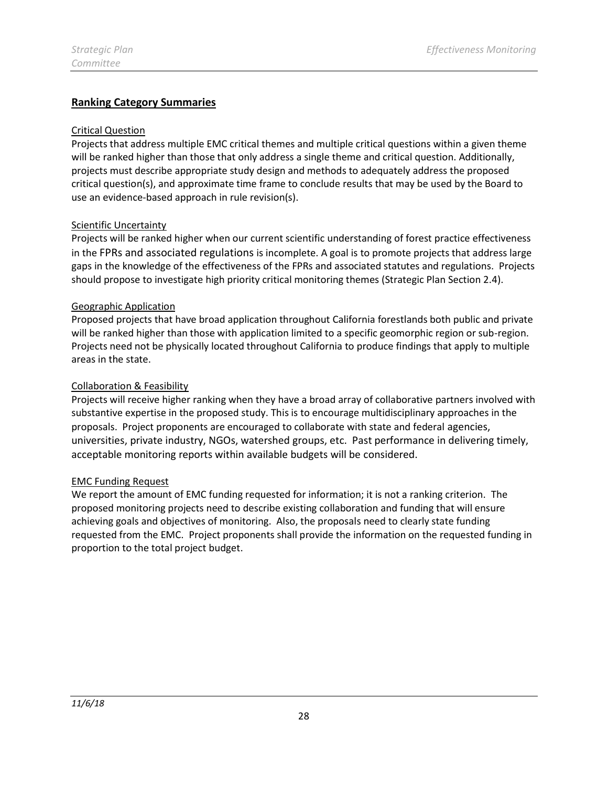## Ranking Category Summaries

#### Critical Question

 Projects that address multiple EMC critical themes and multiple critical questions within a given theme will be ranked higher than those that only address a single theme and critical question. Additionally, projects must describe appropriate study design and methods to adequately address the proposed critical question(s), and approximate time frame to conclude results that may be used by the Board to use an evidence-based approach in rule revision(s).

#### **Scientific Uncertainty**

 Projects will be ranked higher when our current scientific understanding of forest practice effectiveness in the FPRs and associated regulations is incomplete. A goal is to promote projects that address large gaps in the knowledge of the effectiveness of the FPRs and associated statutes and regulations. Projects should propose to investigate high priority critical monitoring themes (Strategic Plan Section 2.4).

#### Geographic Application

 Proposed projects that have broad application throughout California forestlands both public and private will be ranked higher than those with application limited to a specific geomorphic region or sub-region. Projects need not be physically located throughout California to produce findings that apply to multiple areas in the state.

#### Collaboration & Feasibility

 Projects will receive higher ranking when they have a broad array of collaborative partners involved with substantive expertise in the proposed study. This is to encourage multidisciplinary approaches in the proposals. Project proponents are encouraged to collaborate with state and federal agencies, universities, private industry, NGOs, watershed groups, etc. Past performance in delivering timely, acceptable monitoring reports within available budgets will be considered.

#### EMC Funding Request

 We report the amount of EMC funding requested for information; it is not a ranking criterion. The proposed monitoring projects need to describe existing collaboration and funding that will ensure achieving goals and objectives of monitoring. Also, the proposals need to clearly state funding requested from the EMC. Project proponents shall provide the information on the requested funding in proportion to the total project budget.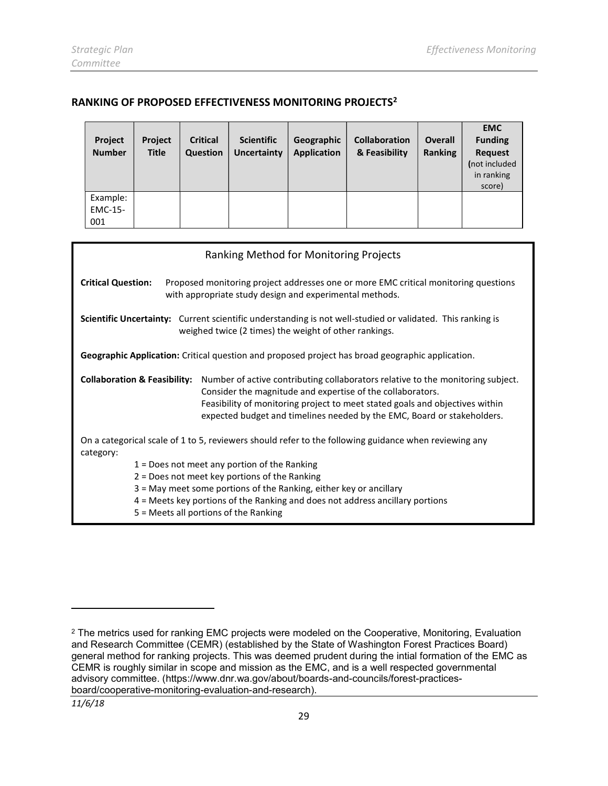### RANKING OF PROPOSED EFFECTIVENESS MONITORING PROJECTS2

| Project<br><b>Number</b>   | <b>Project</b><br><b>Title</b> | <b>Critical</b><br>Question | <b>Scientific</b><br>Uncertainty | Geographic<br><b>Application</b> | <b>Collaboration</b><br>& Feasibility | <b>Overall</b><br><b>Ranking</b> | <b>EMC</b><br><b>Funding</b><br><b>Request</b><br>(not included<br>in ranking<br>score) |
|----------------------------|--------------------------------|-----------------------------|----------------------------------|----------------------------------|---------------------------------------|----------------------------------|-----------------------------------------------------------------------------------------|
| Example:<br>EMC-15-<br>001 |                                |                             |                                  |                                  |                                       |                                  |                                                                                         |

| Ranking Method for Monitoring Projects                                                                                                                                                                                                                                                                                                              |  |  |  |  |  |  |  |
|-----------------------------------------------------------------------------------------------------------------------------------------------------------------------------------------------------------------------------------------------------------------------------------------------------------------------------------------------------|--|--|--|--|--|--|--|
| <b>Critical Question:</b><br>Proposed monitoring project addresses one or more EMC critical monitoring questions<br>with appropriate study design and experimental methods.                                                                                                                                                                         |  |  |  |  |  |  |  |
| Scientific Uncertainty: Current scientific understanding is not well-studied or validated. This ranking is<br>weighed twice (2 times) the weight of other rankings.                                                                                                                                                                                 |  |  |  |  |  |  |  |
| Geographic Application: Critical question and proposed project has broad geographic application.                                                                                                                                                                                                                                                    |  |  |  |  |  |  |  |
| <b>Collaboration &amp; Feasibility:</b><br>Number of active contributing collaborators relative to the monitoring subject.<br>Consider the magnitude and expertise of the collaborators.<br>Feasibility of monitoring project to meet stated goals and objectives within<br>expected budget and timelines needed by the EMC, Board or stakeholders. |  |  |  |  |  |  |  |
| On a categorical scale of 1 to 5, reviewers should refer to the following guidance when reviewing any<br>category:                                                                                                                                                                                                                                  |  |  |  |  |  |  |  |
| $1 =$ Does not meet any portion of the Ranking                                                                                                                                                                                                                                                                                                      |  |  |  |  |  |  |  |
| $2$ = Does not meet key portions of the Ranking                                                                                                                                                                                                                                                                                                     |  |  |  |  |  |  |  |
| 3 = May meet some portions of the Ranking, either key or ancillary<br>4 = Meets key portions of the Ranking and does not address ancillary portions                                                                                                                                                                                                 |  |  |  |  |  |  |  |
| 5 = Meets all portions of the Ranking                                                                                                                                                                                                                                                                                                               |  |  |  |  |  |  |  |

l

 $^{\rm 2}$  The metrics used for ranking EMC projects were modeled on the Cooperative, Monitoring, Evaluation and Research Committee (CEMR) (established by the State of Washington Forest Practices Board) advisory committee. (https://www.dnr.wa.gov/about/boards-and-councils/forest-practicesgeneral method for ranking projects. This was deemed prudent during the intial formation of the EMC as CEMR is roughly similar in scope and mission as the EMC, and is a well respected governmental board/cooperative-monitoring-evaluation-and-research).